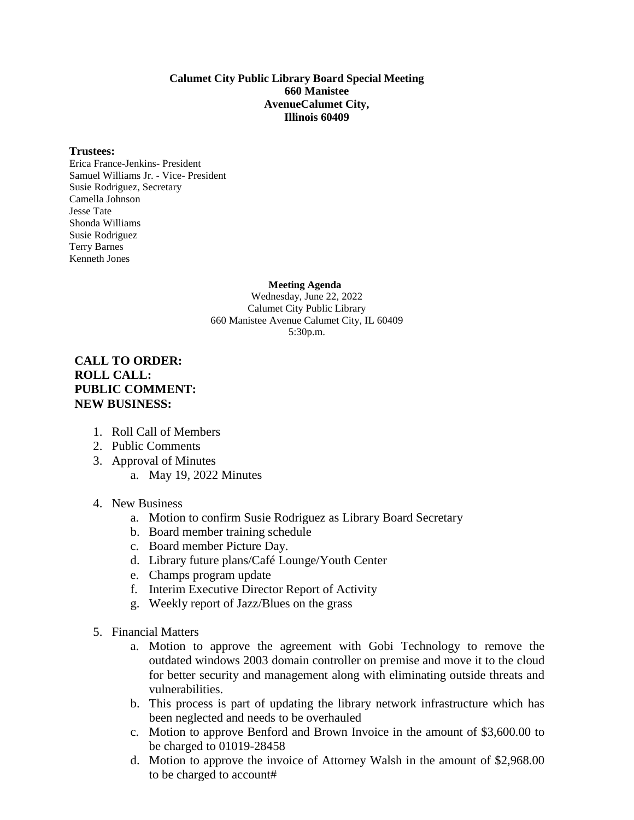#### **Calumet City Public Library Board Special Meeting 660 Manistee AvenueCalumet City, Illinois 60409**

#### **Trustees:**

Erica France-Jenkins- President Samuel Williams Jr. - Vice- President Susie Rodriguez, Secretary Camella Johnson Jesse Tate Shonda Williams Susie Rodriguez Terry Barnes Kenneth Jones

 **Meeting Agenda**

Wednesday, June 22, 2022 Calumet City Public Library 660 Manistee Avenue Calumet City, IL 60409 5:30p.m.

#### **CALL TO ORDER: ROLL CALL: PUBLIC COMMENT: NEW BUSINESS:**

- 1. Roll Call of Members
- 2. Public Comments
- 3. Approval of Minutes
	- a. May 19, 2022 Minutes
- 4. New Business
	- a. Motion to confirm Susie Rodriguez as Library Board Secretary
	- b. Board member training schedule
	- c. Board member Picture Day.
	- d. Library future plans/Café Lounge/Youth Center
	- e. Champs program update
	- f. Interim Executive Director Report of Activity
	- g. Weekly report of Jazz/Blues on the grass
- 5. Financial Matters
	- a. Motion to approve the agreement with Gobi Technology to remove the outdated windows 2003 domain controller on premise and move it to the cloud for better security and management along with eliminating outside threats and vulnerabilities.
	- b. This process is part of updating the library network infrastructure which has been neglected and needs to be overhauled
	- c. Motion to approve Benford and Brown Invoice in the amount of \$3,600.00 to be charged to 01019-28458
	- d. Motion to approve the invoice of Attorney Walsh in the amount of \$2,968.00 to be charged to account#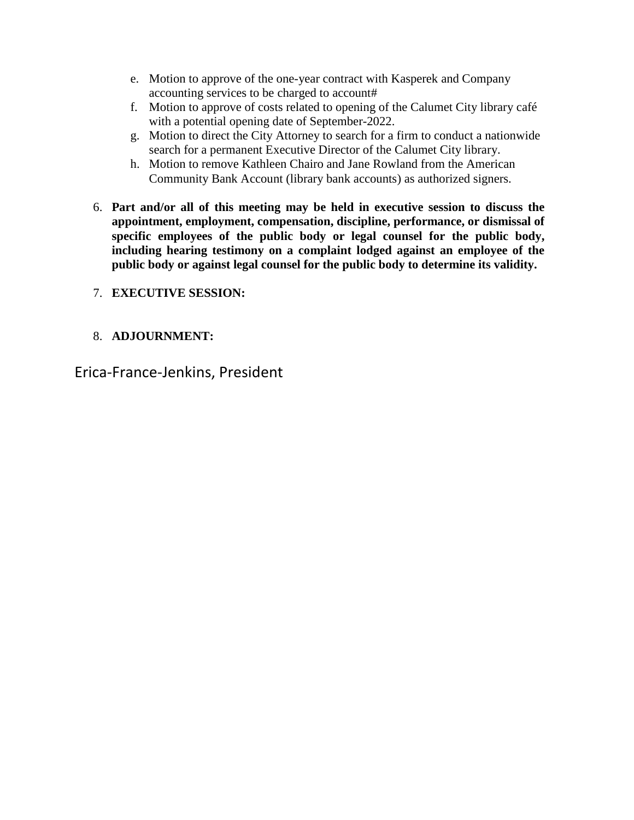- e. Motion to approve of the one-year contract with Kasperek and Company accounting services to be charged to account#
- f. Motion to approve of costs related to opening of the Calumet City library café with a potential opening date of September-2022.
- g. Motion to direct the City Attorney to search for a firm to conduct a nationwide search for a permanent Executive Director of the Calumet City library.
- h. Motion to remove Kathleen Chairo and Jane Rowland from the American Community Bank Account (library bank accounts) as authorized signers.
- 6. **Part and/or all of this meeting may be held in executive session to discuss the appointment, employment, compensation, discipline, performance, or dismissal of specific employees of the public body or legal counsel for the public body, including hearing testimony on a complaint lodged against an employee of the public body or against legal counsel for the public body to determine its validity.**

## 7. **EXECUTIVE SESSION:**

## 8. **ADJOURNMENT:**

Erica-France-Jenkins, President